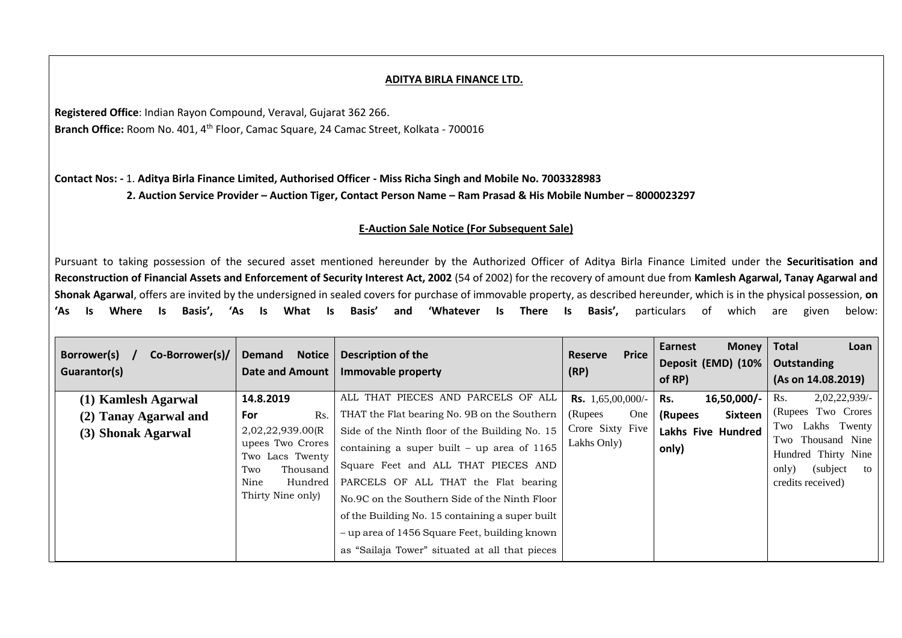## **ADITYA BIRLA FINANCE LTD.**

**Registered Office**: Indian Rayon Compound, Veraval, Gujarat 362 266. Branch Office: Room No. 401, 4<sup>th</sup> Floor, Camac Square, 24 Camac Street, Kolkata - 700016

**Contact Nos: -** 1. **Aditya Birla Finance Limited, Authorised Officer - Miss Richa Singh and Mobile No. 7003328983 2. Auction Service Provider – Auction Tiger, Contact Person Name – Ram Prasad & His Mobile Number – 8000023297**

## **E-Auction Sale Notice (For Subsequent Sale)**

Pursuant to taking possession of the secured asset mentioned hereunder by the Authorized Officer of Aditya Birla Finance Limited under the **Securitisation and Reconstruction of Financial Assets and Enforcement of Security Interest Act, 2002** (54 of 2002) for the recovery of amount due from **Kamlesh Agarwal, Tanay Agarwal and Shonak Agarwal**, offers are invited by the undersigned in sealed covers for purchase of immovable property, as described hereunder, which is in the physical possession, **on 'As Is Where Is Basis', 'As Is What Is Basis' and 'Whatever Is There Is Basis',** particulars of which are given below:

| Co-Borrower(s)/<br>Borrower(s)<br>Guarantor(s) | <b>Demand</b><br><b>Notice</b><br><b>Date and Amount</b>                                                           | <b>Description of the</b><br>Immovable property                                                                                                                                                                                                                                                                                                                                      | Price<br>Reserve<br>(RP)        | Earnest<br><b>Money</b><br>Deposit (EMD) (10%<br>of RP) | <b>Total</b><br>Loan<br>Outstanding<br>(As on 14.08.2019)                                                     |
|------------------------------------------------|--------------------------------------------------------------------------------------------------------------------|--------------------------------------------------------------------------------------------------------------------------------------------------------------------------------------------------------------------------------------------------------------------------------------------------------------------------------------------------------------------------------------|---------------------------------|---------------------------------------------------------|---------------------------------------------------------------------------------------------------------------|
| (1) Kamlesh Agarwal                            | 14.8.2019                                                                                                          | ALL THAT PIECES AND PARCELS OF ALL                                                                                                                                                                                                                                                                                                                                                   | <b>Rs.</b> 1,65,00,000/-        | 16,50,000/-<br>Rs.                                      | $2,02,22,939/$ -<br>Rs.                                                                                       |
| (2) Tanay Agarwal and                          | For<br>Rs.                                                                                                         | THAT the Flat bearing No. 9B on the Southern                                                                                                                                                                                                                                                                                                                                         | One<br>(Rupees)                 | <b>Sixteen</b><br>(Rupees                               | (Rupees Two Crores                                                                                            |
| (3) Shonak Agarwal                             | 2,02,22,939.00(R<br>upees Two Crores<br>Two Lacs Twenty<br>Two<br>Thousand<br>Nine<br>Hundred<br>Thirty Nine only) | Side of the Ninth floor of the Building No. 15<br>containing a super built – up area of $1165$<br>Square Feet and ALL THAT PIECES AND<br>PARCELS OF ALL THAT the Flat bearing<br>No.9C on the Southern Side of the Ninth Floor<br>of the Building No. 15 containing a super built<br>- up area of 1456 Square Feet, building known<br>as "Sailaja Tower" situated at all that pieces | Crore Sixty Five<br>Lakhs Only) | Lakhs Five Hundred<br>only)                             | Two Lakhs Twenty<br>Two Thousand Nine<br>Hundred Thirty Nine<br>(subject)<br>only)<br>to<br>credits received) |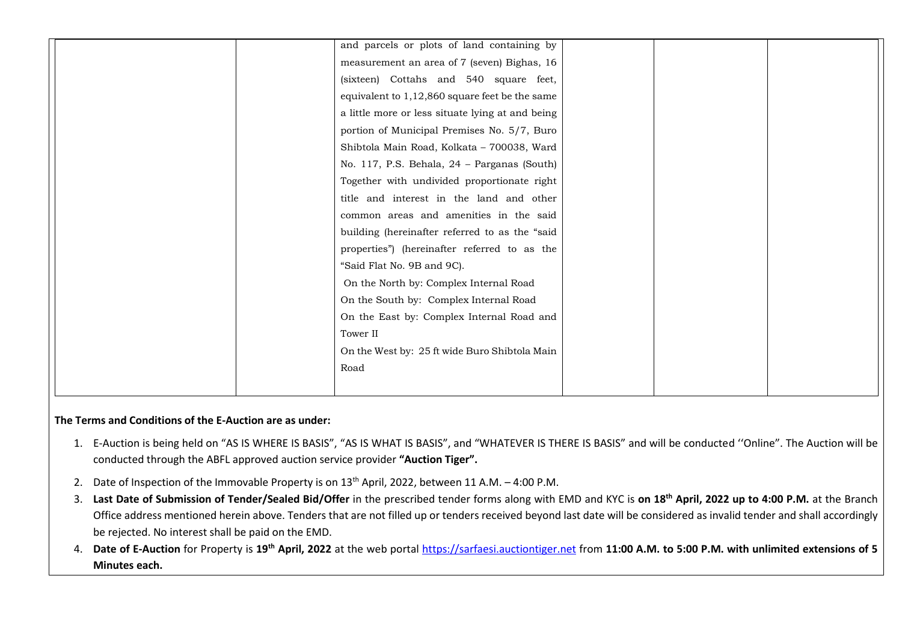| and parcels or plots of land containing by       |  |
|--------------------------------------------------|--|
| measurement an area of 7 (seven) Bighas, 16      |  |
| (sixteen) Cottahs and 540 square feet,           |  |
| equivalent to 1,12,860 square feet be the same   |  |
| a little more or less situate lying at and being |  |
| portion of Municipal Premises No. 5/7, Buro      |  |
| Shibtola Main Road, Kolkata - 700038, Ward       |  |
| No. 117, P.S. Behala, 24 - Parganas (South)      |  |
| Together with undivided proportionate right      |  |
| title and interest in the land and other         |  |
| common areas and amenities in the said           |  |
| building (hereinafter referred to as the "said   |  |
| properties") (hereinafter referred to as the     |  |
| "Said Flat No. 9B and 9C).                       |  |
| On the North by: Complex Internal Road           |  |
| On the South by: Complex Internal Road           |  |
| On the East by: Complex Internal Road and        |  |
| Tower II                                         |  |
| On the West by: 25 ft wide Buro Shibtola Main    |  |
| Road                                             |  |
|                                                  |  |

## **The Terms and Conditions of the E-Auction are as under:**

- 1. E-Auction is being held on "AS IS WHERE IS BASIS", "AS IS WHAT IS BASIS", and "WHATEVER IS THERE IS BASIS" and will be conducted ''Online". The Auction will be conducted through the ABFL approved auction service provider **"Auction Tiger".**
- 2. Date of Inspection of the Immovable Property is on 13<sup>th</sup> April, 2022, between 11 A.M. 4:00 P.M.
- 3. **Last Date of Submission of Tender/Sealed Bid/Offer** in the prescribed tender forms along with EMD and KYC is **on 18 th April, 2022 up to 4:00 P.M.** at the Branch Office address mentioned herein above. Tenders that are not filled up or tenders received beyond last date will be considered as invalid tender and shall accordingly be rejected. No interest shall be paid on the EMD.
- 4. **Date of E-Auction** for Property is **19th April, 2022** at the web portal [https://sarfaesi.auctiontiger.net](https://sarfaesi.auctiontiger.net/) from **11:00 A.M. to 5:00 P.M. with unlimited extensions of 5 Minutes each.**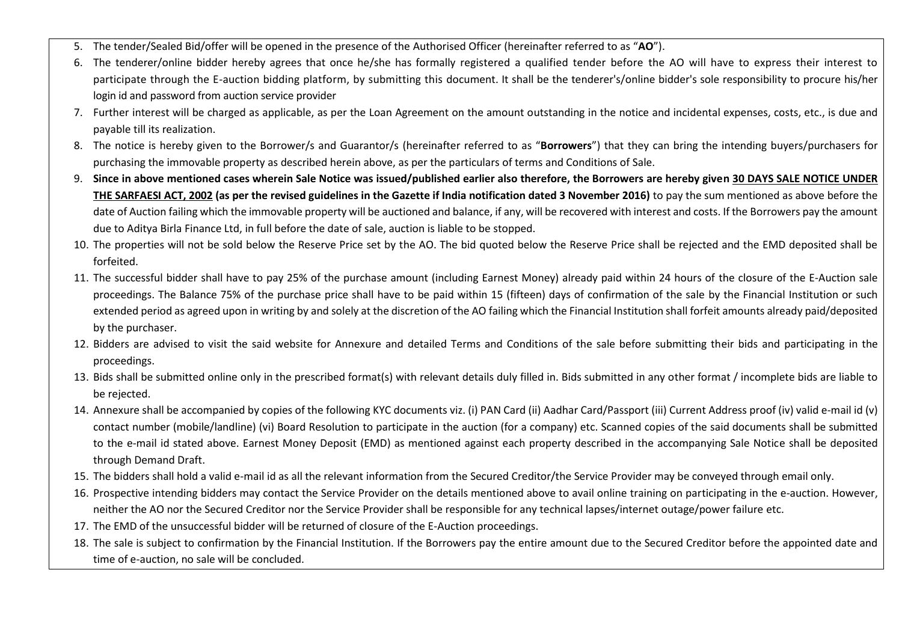- 5. The tender/Sealed Bid/offer will be opened in the presence of the Authorised Officer (hereinafter referred to as "**AO**").
- 6. The tenderer/online bidder hereby agrees that once he/she has formally registered a qualified tender before the AO will have to express their interest to participate through the E-auction bidding platform, by submitting this document. It shall be the tenderer's/online bidder's sole responsibility to procure his/her login id and password from auction service provider
- 7. Further interest will be charged as applicable, as per the Loan Agreement on the amount outstanding in the notice and incidental expenses, costs, etc., is due and payable till its realization.
- 8. The notice is hereby given to the Borrower/s and Guarantor/s (hereinafter referred to as "**Borrowers**") that they can bring the intending buyers/purchasers for purchasing the immovable property as described herein above, as per the particulars of terms and Conditions of Sale.
- 9. **Since in above mentioned cases wherein Sale Notice was issued/published earlier also therefore, the Borrowers are hereby given 30 DAYS SALE NOTICE UNDER THE SARFAESI ACT, 2002 (as per the revised guidelines in the Gazette if India notification dated 3 November 2016)** to pay the sum mentioned as above before the date of Auction failing which the immovable property will be auctioned and balance, if any, will be recovered with interest and costs. If the Borrowers pay the amount due to Aditya Birla Finance Ltd, in full before the date of sale, auction is liable to be stopped.
- 10. The properties will not be sold below the Reserve Price set by the AO. The bid quoted below the Reserve Price shall be rejected and the EMD deposited shall be forfeited.
- 11. The successful bidder shall have to pay 25% of the purchase amount (including Earnest Money) already paid within 24 hours of the closure of the E-Auction sale proceedings. The Balance 75% of the purchase price shall have to be paid within 15 (fifteen) days of confirmation of the sale by the Financial Institution or such extended period as agreed upon in writing by and solely at the discretion of the AO failing which the Financial Institution shall forfeit amounts already paid/deposited by the purchaser.
- 12. Bidders are advised to visit the said website for Annexure and detailed Terms and Conditions of the sale before submitting their bids and participating in the proceedings.
- 13. Bids shall be submitted online only in the prescribed format(s) with relevant details duly filled in. Bids submitted in any other format / incomplete bids are liable to be rejected.
- 14. Annexure shall be accompanied by copies of the following KYC documents viz. (i) PAN Card (ii) Aadhar Card/Passport (iii) Current Address proof (iv) valid e-mail id (v) contact number (mobile/landline) (vi) Board Resolution to participate in the auction (for a company) etc. Scanned copies of the said documents shall be submitted to the e-mail id stated above. Earnest Money Deposit (EMD) as mentioned against each property described in the accompanying Sale Notice shall be deposited through Demand Draft.
- 15. The bidders shall hold a valid e-mail id as all the relevant information from the Secured Creditor/the Service Provider may be conveyed through email only.
- 16. Prospective intending bidders may contact the Service Provider on the details mentioned above to avail online training on participating in the e-auction. However, neither the AO nor the Secured Creditor nor the Service Provider shall be responsible for any technical lapses/internet outage/power failure etc.
- 17. The EMD of the unsuccessful bidder will be returned of closure of the E-Auction proceedings.
- 18. The sale is subject to confirmation by the Financial Institution. If the Borrowers pay the entire amount due to the Secured Creditor before the appointed date and time of e-auction, no sale will be concluded.